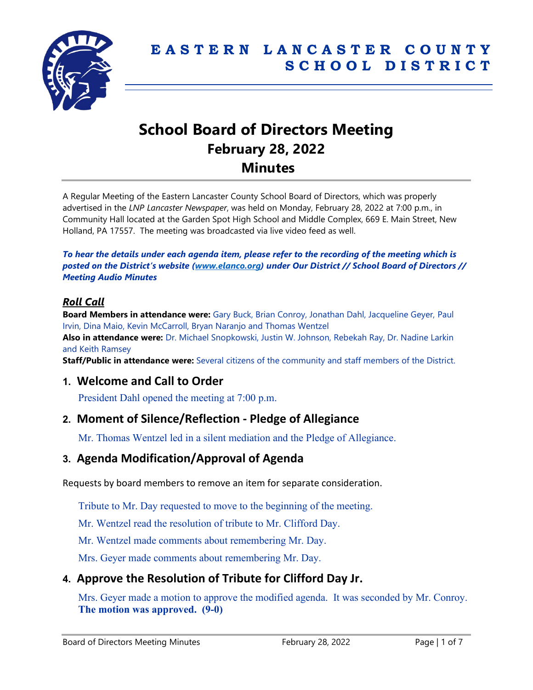

# **School Board of Directors Meeting February 28, 2022 Minutes**

A Regular Meeting of the Eastern Lancaster County School Board of Directors, which was properly advertised in the *LNP Lancaster Newspaper*, was held on Monday, February 28, 2022 at 7:00 p.m., in Community Hall located at the Garden Spot High School and Middle Complex, 669 E. Main Street, New Holland, PA 17557. The meeting was broadcasted via live video feed as well.

*To hear the details under each agenda item, please refer to the recording of the meeting which is posted on the District's website [\(www.elanco.org\)](www.elanco.org) under Our District // School Board of Directors // Meeting Audio Minutes*

### *Roll Call*

**Board Members in attendance were:** Gary Buck, Brian Conroy, Jonathan Dahl, Jacqueline Geyer, Paul Irvin, Dina Maio, Kevin McCarroll, Bryan Naranjo and Thomas Wentzel

**Also in attendance were:** Dr. Michael Snopkowski, Justin W. Johnson, Rebekah Ray, Dr. Nadine Larkin and Keith Ramsey

**Staff/Public in attendance were:** Several citizens of the community and staff members of the District.

### **1. Welcome and Call to Order**

President Dahl opened the meeting at 7:00 p.m.

### **2. Moment of Silence/Reflection - Pledge of Allegiance**

Mr. Thomas Wentzel led in a silent mediation and the Pledge of Allegiance.

# **3. Agenda Modification/Approval of Agenda**

Requests by board members to remove an item for separate consideration.

Tribute to Mr. Day requested to move to the beginning of the meeting.

Mr. Wentzel read the resolution of tribute to Mr. Clifford Day.

Mr. Wentzel made comments about remembering Mr. Day.

Mrs. Geyer made comments about remembering Mr. Day.

# **4. Approve the Resolution of Tribute for Clifford Day Jr.**

Mrs. Geyer made a motion to approve the modified agenda. It was seconded by Mr. Conroy. **The motion was approved. (9-0)**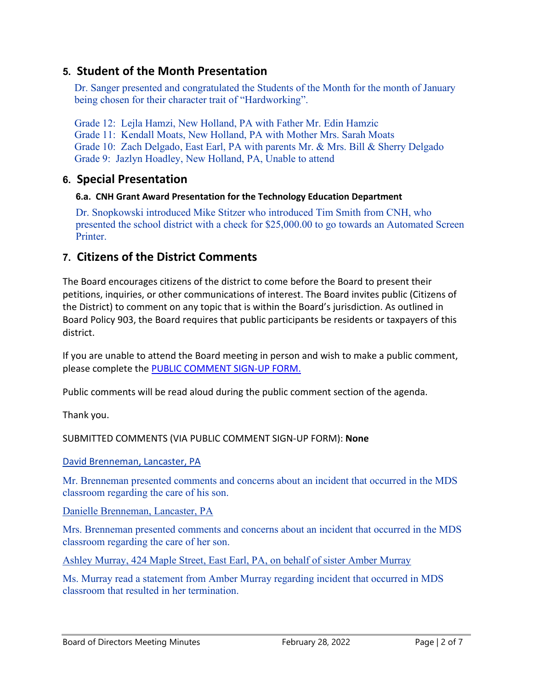# **5. Student of the Month Presentation**

Dr. Sanger presented and congratulated the Students of the Month for the month of January being chosen for their character trait of "Hardworking".

Grade 12: Lejla Hamzi, New Holland, PA with Father Mr. Edin Hamzic Grade 11: Kendall Moats, New Holland, PA with Mother Mrs. Sarah Moats Grade 10: Zach Delgado, East Earl, PA with parents Mr. & Mrs. Bill & Sherry Delgado Grade 9: Jazlyn Hoadley, New Holland, PA, Unable to attend

# **6. Special Presentation**

### **6.a. CNH Grant Award Presentation for the Technology Education Department**

Dr. Snopkowski introduced Mike Stitzer who introduced Tim Smith from CNH, who presented the school district with a check for \$25,000.00 to go towards an Automated Screen Printer.

# **7. Citizens of the District Comments**

The Board encourages citizens of the district to come before the Board to present their petitions, inquiries, or other communications of interest. The Board invites public (Citizens of the District) to comment on any topic that is within the Board's jurisdiction. As outlined in Board Policy 903, the Board requires that public participants be residents or taxpayers of this district.

If you are unable to attend the Board meeting in person and wish to make a public comment, please complete the [PUBLIC COMMENT SIGN-UP FORM.](https://forms.gle/zDXXoX8rZQUxt1Ap6)

Public comments will be read aloud during the public comment section of the agenda.

Thank you.

SUBMITTED COMMENTS (VIA PUBLIC COMMENT SIGN-UP FORM): **None**

David Brenneman, Lancaster, PA

Mr. Brenneman presented comments and concerns about an incident that occurred in the MDS classroom regarding the care of his son.

Danielle Brenneman, Lancaster, PA

Mrs. Brenneman presented comments and concerns about an incident that occurred in the MDS classroom regarding the care of her son.

Ashley Murray, 424 Maple Street, East Earl, PA, on behalf of sister Amber Murray

Ms. Murray read a statement from Amber Murray regarding incident that occurred in MDS classroom that resulted in her termination.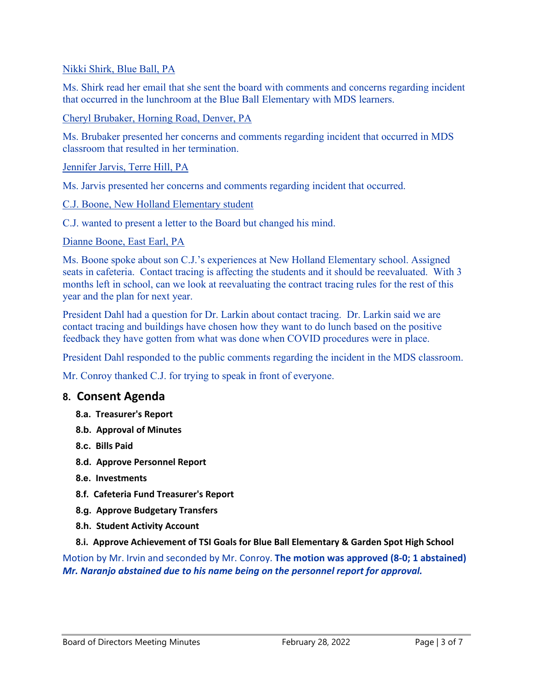#### Nikki Shirk, Blue Ball, PA

Ms. Shirk read her email that she sent the board with comments and concerns regarding incident that occurred in the lunchroom at the Blue Ball Elementary with MDS learners.

#### Cheryl Brubaker, Horning Road, Denver, PA

Ms. Brubaker presented her concerns and comments regarding incident that occurred in MDS classroom that resulted in her termination.

#### Jennifer Jarvis, Terre Hill, PA

Ms. Jarvis presented her concerns and comments regarding incident that occurred.

#### C.J. Boone, New Holland Elementary student

C.J. wanted to present a letter to the Board but changed his mind.

#### Dianne Boone, East Earl, PA

Ms. Boone spoke about son C.J.'s experiences at New Holland Elementary school. Assigned seats in cafeteria. Contact tracing is affecting the students and it should be reevaluated. With 3 months left in school, can we look at reevaluating the contract tracing rules for the rest of this year and the plan for next year.

President Dahl had a question for Dr. Larkin about contact tracing. Dr. Larkin said we are contact tracing and buildings have chosen how they want to do lunch based on the positive feedback they have gotten from what was done when COVID procedures were in place.

President Dahl responded to the public comments regarding the incident in the MDS classroom.

Mr. Conroy thanked C.J. for trying to speak in front of everyone.

# **8. Consent Agenda**

- **8.a. Treasurer's Report**
- **8.b. Approval of Minutes**
- **8.c. Bills Paid**
- **8.d. Approve Personnel Report**
- **8.e. Investments**
- **8.f. Cafeteria Fund Treasurer's Report**
- **8.g. Approve Budgetary Transfers**
- **8.h. Student Activity Account**
- **8.i. Approve Achievement of TSI Goals for Blue Ball Elementary & Garden Spot High School**

Motion by Mr. Irvin and seconded by Mr. Conroy. **The motion was approved (8-0; 1 abstained)** *Mr. Naranjo abstained due to his name being on the personnel report for approval.*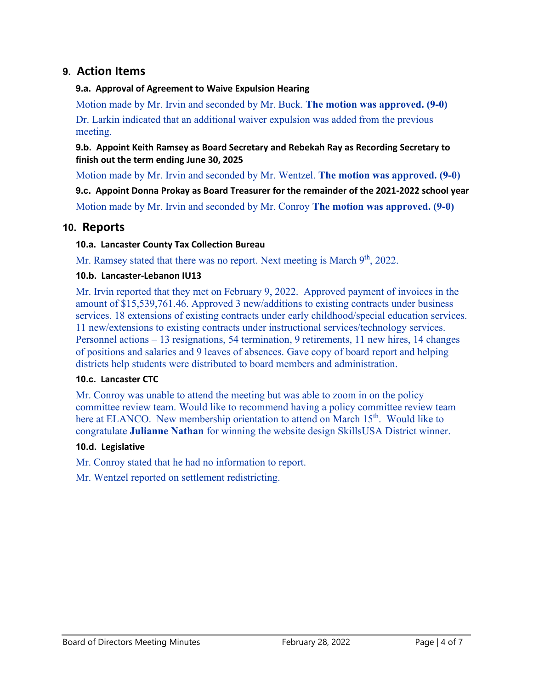# **9. Action Items**

#### **9.a. Approval of Agreement to Waive Expulsion Hearing**

Motion made by Mr. Irvin and seconded by Mr. Buck. **The motion was approved. (9-0)** Dr. Larkin indicated that an additional waiver expulsion was added from the previous meeting.

**9.b. Appoint Keith Ramsey as Board Secretary and Rebekah Ray as Recording Secretary to finish out the term ending June 30, 2025**

Motion made by Mr. Irvin and seconded by Mr. Wentzel. **The motion was approved. (9-0)**

**9.c. Appoint Donna Prokay as Board Treasurer for the remainder of the 2021-2022 school year** Motion made by Mr. Irvin and seconded by Mr. Conroy **The motion was approved. (9-0)**

### **10. Reports**

#### **10.a. Lancaster County Tax Collection Bureau**

Mr. Ramsey stated that there was no report. Next meeting is March  $9<sup>th</sup>$ , 2022.

#### **10.b. Lancaster-Lebanon IU13**

Mr. Irvin reported that they met on February 9, 2022. Approved payment of invoices in the amount of \$15,539,761.46. Approved 3 new/additions to existing contracts under business services. 18 extensions of existing contracts under early childhood/special education services. 11 new/extensions to existing contracts under instructional services/technology services. Personnel actions – 13 resignations, 54 termination, 9 retirements, 11 new hires, 14 changes of positions and salaries and 9 leaves of absences. Gave copy of board report and helping districts help students were distributed to board members and administration.

#### **10.c. Lancaster CTC**

Mr. Conroy was unable to attend the meeting but was able to zoom in on the policy committee review team. Would like to recommend having a policy committee review team here at ELANCO. New membership orientation to attend on March 15<sup>th</sup>. Would like to congratulate **Julianne Nathan** for winning the website design SkillsUSA District winner.

#### **10.d. Legislative**

Mr. Conroy stated that he had no information to report.

Mr. Wentzel reported on settlement redistricting.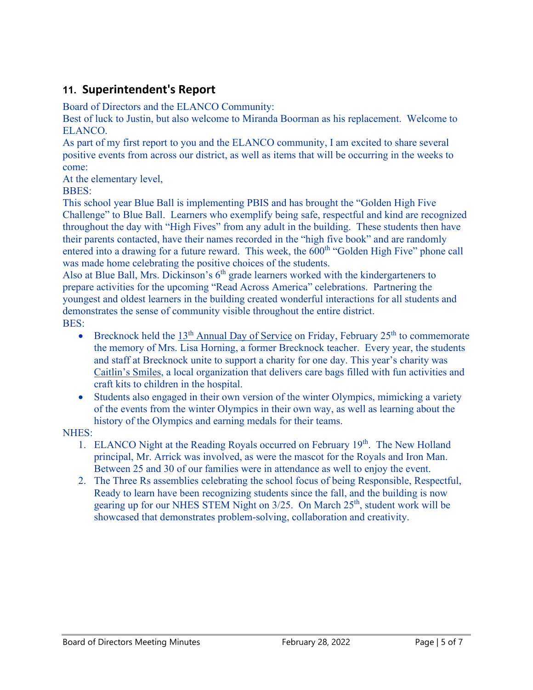# **11. Superintendent's Report**

Board of Directors and the ELANCO Community:

Best of luck to Justin, but also welcome to Miranda Boorman as his replacement. Welcome to ELANCO.

As part of my first report to you and the ELANCO community, I am excited to share several positive events from across our district, as well as items that will be occurring in the weeks to come:

At the elementary level,

BBES:

This school year Blue Ball is implementing PBIS and has brought the "Golden High Five Challenge" to Blue Ball. Learners who exemplify being safe, respectful and kind are recognized throughout the day with "High Fives" from any adult in the building. These students then have their parents contacted, have their names recorded in the "high five book" and are randomly entered into a drawing for a future reward. This week, the  $600<sup>th</sup>$  "Golden High Five" phone call was made home celebrating the positive choices of the students.

Also at Blue Ball, Mrs. Dickinson's  $6<sup>th</sup>$  grade learners worked with the kindergarteners to prepare activities for the upcoming "Read Across America" celebrations. Partnering the youngest and oldest learners in the building created wonderful interactions for all students and demonstrates the sense of community visible throughout the entire district. BES:

- Brecknock held the 13<sup>th</sup> [Annual Day of Service](https://docs.google.com/presentation/d/1-ZPBiu5NgkiHC8IbsSdoCnlr7ksVbnvtIOU6UFOewEU/edit?usp=sharing) on Friday, February 25<sup>th</sup> to commemorate the memory of Mrs. Lisa Horning, a former Brecknock teacher. Every year, the students and staff at Brecknock unite to support a charity for one day. This year's charity was [Caitlin's Smiles,](http://www.caitlins-smiles.org/) a local organization that delivers care bags filled with fun activities and craft kits to children in the hospital.
- Students also engaged in their own version of the winter Olympics, mimicking a variety of the events from the winter Olympics in their own way, as well as learning about the history of the Olympics and earning medals for their teams.

### NHES:

- 1. ELANCO Night at the Reading Royals occurred on February  $19<sup>th</sup>$ . The New Holland principal, Mr. Arrick was involved, as were the mascot for the Royals and Iron Man. Between 25 and 30 of our families were in attendance as well to enjoy the event.
- 2. The Three Rs assemblies celebrating the school focus of being Responsible, Respectful, Ready to learn have been recognizing students since the fall, and the building is now gearing up for our NHES STEM Night on 3/25. On March 25<sup>th</sup>, student work will be showcased that demonstrates problem-solving, collaboration and creativity.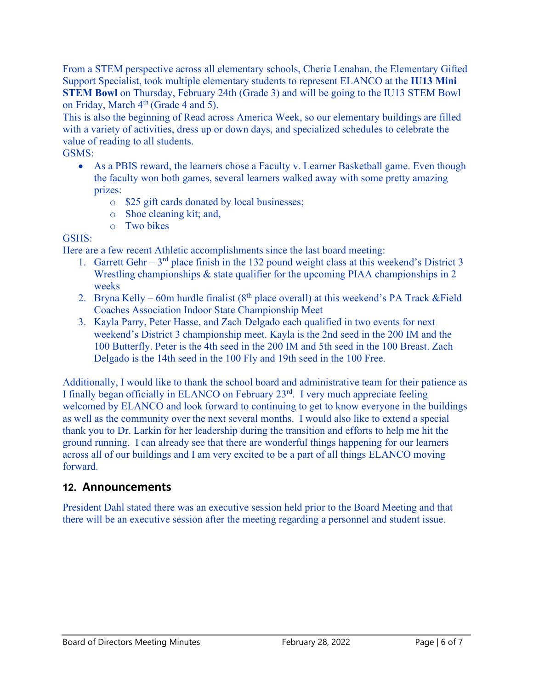From a STEM perspective across all elementary schools, Cherie Lenahan, the Elementary Gifted Support Specialist, took multiple elementary students to represent ELANCO at the **IU13 Mini STEM Bowl** on Thursday, February 24th (Grade 3) and will be going to the IU13 STEM Bowl on Friday, March  $4<sup>th</sup>$  (Grade 4 and 5).

This is also the beginning of Read across America Week, so our elementary buildings are filled with a variety of activities, dress up or down days, and specialized schedules to celebrate the value of reading to all students.

### GSMS:

- As a PBIS reward, the learners chose a Faculty v. Learner Basketball game. Even though the faculty won both games, several learners walked away with some pretty amazing prizes:
	- o \$25 gift cards donated by local businesses;
	- o Shoe cleaning kit; and,
	- o Two bikes

### GSHS:

Here are a few recent Athletic accomplishments since the last board meeting:

- 1. Garrett Gehr  $3<sup>rd</sup>$  place finish in the 132 pound weight class at this weekend's District 3 Wrestling championships & state qualifier for the upcoming PIAA championships in 2 weeks
- 2. Bryna Kelly 60m hurdle finalist ( $8<sup>th</sup>$  place overall) at this weekend's PA Track &Field Coaches Association Indoor State Championship Meet
- 3. Kayla Parry, Peter Hasse, and Zach Delgado each qualified in two events for next weekend's District 3 championship meet. Kayla is the 2nd seed in the 200 IM and the 100 Butterfly. Peter is the 4th seed in the 200 IM and 5th seed in the 100 Breast. Zach Delgado is the 14th seed in the 100 Fly and 19th seed in the 100 Free.

Additionally, I would like to thank the school board and administrative team for their patience as I finally began officially in ELANCO on February 23rd. I very much appreciate feeling welcomed by ELANCO and look forward to continuing to get to know everyone in the buildings as well as the community over the next several months. I would also like to extend a special thank you to Dr. Larkin for her leadership during the transition and efforts to help me hit the ground running. I can already see that there are wonderful things happening for our learners across all of our buildings and I am very excited to be a part of all things ELANCO moving forward.

# **12. Announcements**

President Dahl stated there was an executive session held prior to the Board Meeting and that there will be an executive session after the meeting regarding a personnel and student issue.